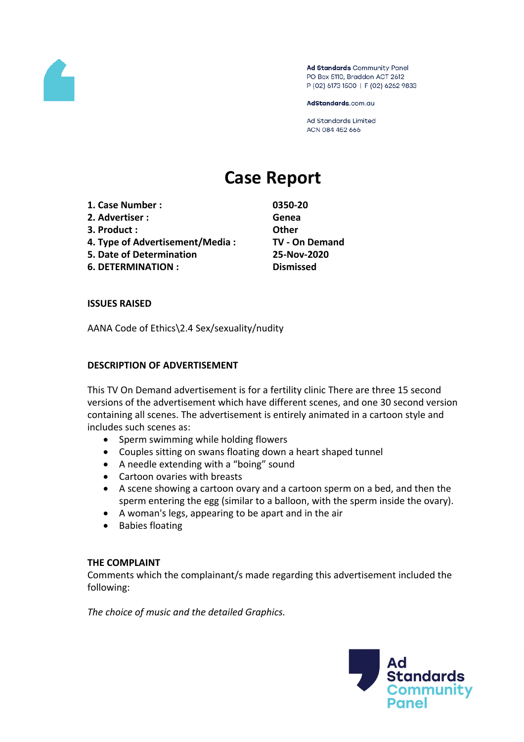

Ad Standards Community Panel PO Box 5110, Braddon ACT 2612 P (02) 6173 1500 | F (02) 6262 9833

AdStandards.com.au

**Ad Standards Limited** ACN 084 452 666

# **Case Report**

- **1. Case Number : 0350-20**
- **2. Advertiser : Genea**
- **3. Product : Other**
- **4. Type of Advertisement/Media : TV - On Demand**
- **5. Date of Determination 25-Nov-2020**
- **6. DETERMINATION : Dismissed**

#### **ISSUES RAISED**

AANA Code of Ethics\2.4 Sex/sexuality/nudity

#### **DESCRIPTION OF ADVERTISEMENT**

This TV On Demand advertisement is for a fertility clinic There are three 15 second versions of the advertisement which have different scenes, and one 30 second version containing all scenes. The advertisement is entirely animated in a cartoon style and includes such scenes as:

- Sperm swimming while holding flowers
- Couples sitting on swans floating down a heart shaped tunnel
- A needle extending with a "boing" sound
- Cartoon ovaries with breasts
- A scene showing a cartoon ovary and a cartoon sperm on a bed, and then the sperm entering the egg (similar to a balloon, with the sperm inside the ovary).
- A woman's legs, appearing to be apart and in the air
- Babies floating

#### **THE COMPLAINT**

Comments which the complainant/s made regarding this advertisement included the following:

*The choice of music and the detailed Graphics.*

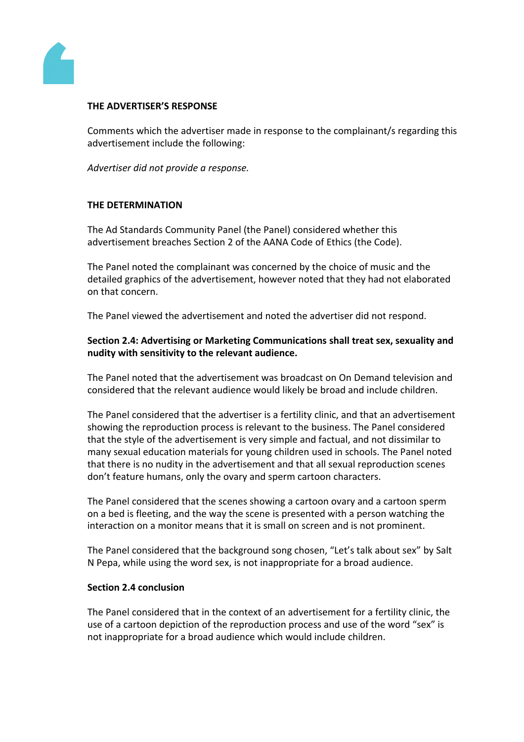

#### **THE ADVERTISER'S RESPONSE**

Comments which the advertiser made in response to the complainant/s regarding this advertisement include the following:

*Advertiser did not provide a response.*

### **THE DETERMINATION**

The Ad Standards Community Panel (the Panel) considered whether this advertisement breaches Section 2 of the AANA Code of Ethics (the Code).

The Panel noted the complainant was concerned by the choice of music and the detailed graphics of the advertisement, however noted that they had not elaborated on that concern.

The Panel viewed the advertisement and noted the advertiser did not respond.

**Section 2.4: Advertising or Marketing Communications shall treat sex, sexuality and nudity with sensitivity to the relevant audience.**

The Panel noted that the advertisement was broadcast on On Demand television and considered that the relevant audience would likely be broad and include children.

The Panel considered that the advertiser is a fertility clinic, and that an advertisement showing the reproduction process is relevant to the business. The Panel considered that the style of the advertisement is very simple and factual, and not dissimilar to many sexual education materials for young children used in schools. The Panel noted that there is no nudity in the advertisement and that all sexual reproduction scenes don't feature humans, only the ovary and sperm cartoon characters.

The Panel considered that the scenes showing a cartoon ovary and a cartoon sperm on a bed is fleeting, and the way the scene is presented with a person watching the interaction on a monitor means that it is small on screen and is not prominent.

The Panel considered that the background song chosen, "Let's talk about sex" by Salt N Pepa, while using the word sex, is not inappropriate for a broad audience.

#### **Section 2.4 conclusion**

The Panel considered that in the context of an advertisement for a fertility clinic, the use of a cartoon depiction of the reproduction process and use of the word "sex" is not inappropriate for a broad audience which would include children.